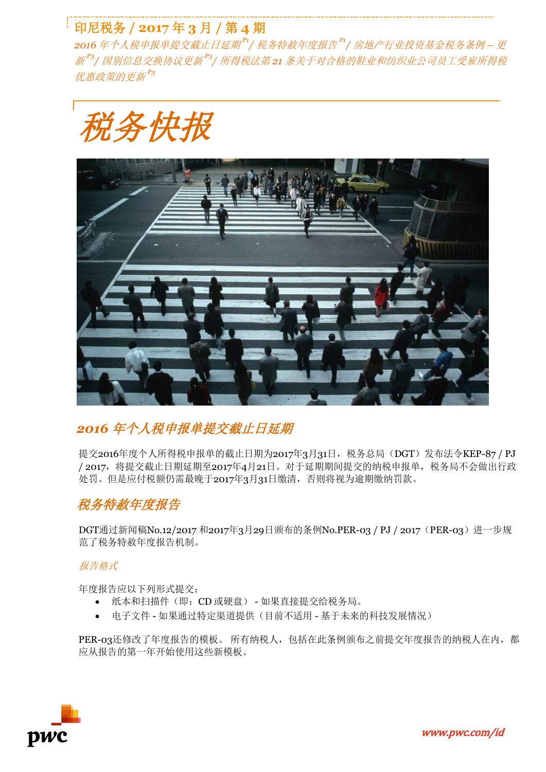## 印尼税务 **/ 2017** 年 **3** 月 **/** 第 **4** 期

2016 年个人税申报单提交截止日延期<sup>P1</sup>/ 税务特赦年度报告 <sup>P1</sup>/ 房地产行业投资基金税务条例 – 更 新<sup>P3</sup>/ 国别信息交换协议更新<sup>P3</sup>/ 所得税法第 21 条关于对合格的鞋业和纺织业公司员工受雇所得税 优惠政策的更新 *P3*





### *2016* 年个人税申报单提交截止日延期

提交2016年度个人所得税申报单的截止日期为2017年3月31日,税务总局(DGT)发布法令KEP-87 / PJ / 2017,将提交截止日期延期至2017年4月21日。对于延期期间提交的纳税申报单,税务局不会做出行政 处罚。但是应付税额仍需最晚于2017年3月31日缴清,否则将视为逾期缴纳罚款。

## 税务特赦年度报告

DGT通过新闻稿No.12/2017 和2017年3月29日颁布的条例No.PER-03 / PJ / 2017 (PER-03) 进一步规 范了税务特赦年度报告机制。

#### 报告格式

年度报告应以下列形式提交:

- 纸本和扫描件(即:CD 或硬盘) 如果直接提交给税务局。
- 电子文件 如果通过特定渠道提供(目前不适用 基于未来的科技发展情况)

PER-03还修改了年度报告的模板。 所有纳税人, 包括在此条例颁布之前提交年度报告的纳税人在内, 都 应从报告的第一年开始使用这些新模板。

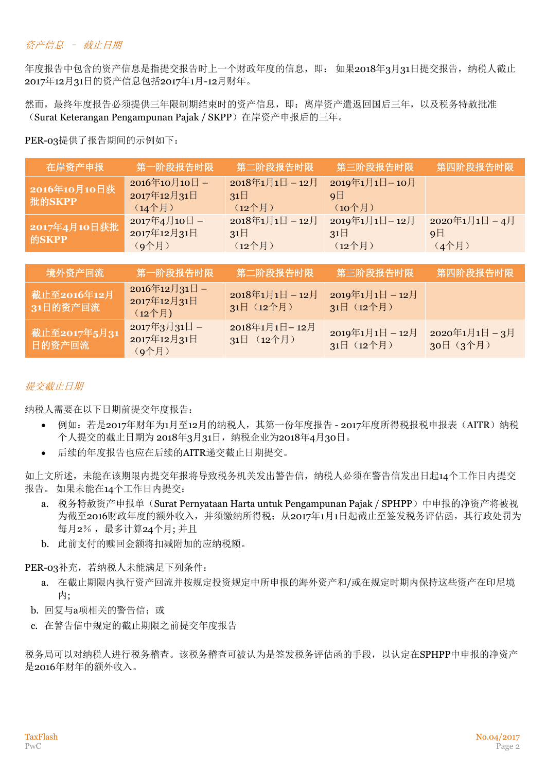#### 资产信息 – 截止日期

年度报告中包含的资产信息是指提交报告时上一个财政年度的信息,即: 如果2018年3月31日提交报告, 纳税人截止 2017年12月31日的资产信息包括2017年1月-12月财年。

然而,最终年度报告必须提供三年限制期结束时的资产信息,即:离岸资产遣返回国后三年,以及税务特赦批准 (Surat Keterangan Pengampunan Pajak / SKPP)在岸资产申报后的三年。

PER-03提供了报告期间的示例如下:

| 在岸资产申报                  | 第一阶段报告时限                                | 第二阶段报告时限                              | 第三阶段报告时限                                  | 第四阶段报告时限                          |
|-------------------------|-----------------------------------------|---------------------------------------|-------------------------------------------|-----------------------------------|
| 2016年10月10日获<br>批的SKPP  | 2016年10月10日-<br>2017年12月31日<br>(14个月)   | 2018年1月1日-12月<br>$31\Box$<br>$(12$ 个月 | 2019年1月1日-10月<br>9 <sup>1</sup><br>(10个月) |                                   |
| 2017年4月10日获批<br>的SKPP   | 2017年4月10日-<br>2017年12月31日<br>(g个月)     | 2018年1月1日-12月<br>$31\Box$<br>$(12$ 个月 | 2019年1月1日-12月<br>$31\Box$<br>$(12$ 个月     | 2020年1月1日-4月<br>$9 \Box$<br>(4个月) |
|                         |                                         |                                       |                                           |                                   |
| 境外资产回流                  | 第一阶段报告时限                                | 第二阶段报告时限                              | 第三阶段报告时限                                  | 第四阶段报告时限                          |
| 截止至2016年12月<br>31日的资产回流 | 2016年12月31日-<br>2017年12月31日<br>$(12$ 个月 | 2018年1月1日-12月<br>31日 (12个月)           | 2019年1月1日-12月<br>31日 (12个月)               |                                   |
| 截止至2017年5月31<br>日的资产回流  | 2017年3月31日-<br>2017年12月31日<br>(g个月)     | 2018年1月1日-12月<br>31日 (12个月)           | 2019年1月1日-12月<br>31日 (12个月)               | 2020年1月1日-3月<br>30日 (3个月)         |

### 提交截止日期

纳税人需要在以下日期前提交年度报告:

- 例如: 若是2017年财年为1月至12月的纳税人, 其第一份年度报告 2017年度所得税报税申报表(AITR)纳税 个人提交的截止日期为 2018年3月31日,纳税企业为2018年4月30日。
- 后续的年度报告也应在后续的AITR递交截止日期提交。

如上文所述,未能在该期限内提交年报将导致税务机关发出警告信,纳税人必须在警告信发出日起14个工作日内提交 报告。 如果未能在14个工作日内提交:

- a. 税务特赦资产申报单(Surat Pernyataan Harta untuk Pengampunan Pajak / SPHPP)中申报的净资产将被视 为截至2016财政年度的额外收入,并须缴纳所得税;从2017年1月1日起截止至签发税务评估函,其行政处罚为 每月2%,最多计算24个月;并且
- b. 此前支付的赎回金额将扣减附加的应纳税额。

PER-03补充, 若纳税人未能满足下列条件:

- a. 在截止期限内执行资产回流并按规定投资规定中所申报的海外资产和/或在规定时期内保持这些资产在印尼境 内;
- b. 回复与a项相关的警告信: 或
- c. 在警告信中规定的截止期限之前提交年度报告

税务局可以对纳税人进行税务稽查。该税务稽查可被认为是签发税务评估函的手段,以认定在SPHPP中申报的净资产 是2016年财年的额外收入。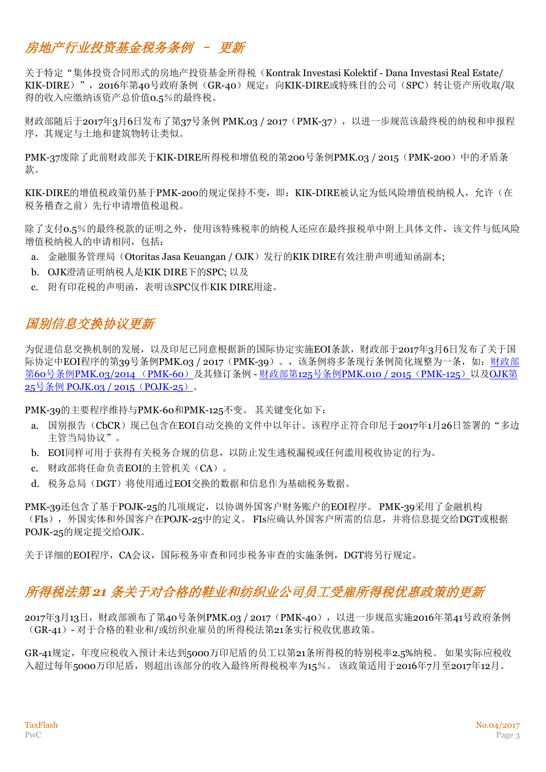# 房地产行业投资基金税务条例 – 更新

关于特定"集体投资合同形式的房地产投资基金所得税(Kontrak Investasi Kolektif - Dana Investasi Real Estate/ KIK-DIRE)", 2016年第40号政府条例(GR-40)规定: 向KIK-DIRE或特殊目的公司(SPC)转让资产所收取/取 得的收入应缴纳该资产总价值0.5%的最终税。

财政部随后于2017年3月6日发布了第37号条例 PMK.03 / 2017 (PMK-37), 以进一步规范该最终税的纳税和申报程 序,其规定与土地和建筑物转让类似。

PMK-37废除了此前财政部关于KIK-DIRE所得税和增值税的第200号条例PMK.03 / 2015(PMK-200)中的矛盾条 款。

KIK-DIRE的增值税政策仍基于PMK-200的规定保持不变,即: KIK-DIRE被认定为低风险增值税纳税人, 允许(在 税务稽查之前)先行申请增值税退税。

除了支付o.5%的最终税款的证明之外,使用该特殊税率的纳税人还应在最终报税单中附上具体文件,该文件与低风险 增值税纳税人的申请相同,包括:

- a. 金融服务管理局(Otoritas Jasa Keuangan / OJK)发行的KIK DIRE有效注册声明通知函副本;
- b. OJK澄清证明纳税人是KIK DIRE下的SPC; 以及
- c. 附有印花税的声明函,表明该SPC仅作KIK DIRE用途。

## 国别信息交换协议更新

为促进信息交换机制的发展,以及印尼已同意根据新的国际协定实施EOI条款,财政部于2017年3月6日发布了关于国 际协定中EOI程序的第39号条例PMK.03 / 2017 (PMK-39)。, 该条例将多条现行条例简化规整为一条, 如: 财政部 第60号条例[PMK.03/2014](http://www.pwc.com/id/en/taxflash/assets/taxflash_2014-07.pdf) (PMK-60)及其修订条例 - 财政部第125号条例[PMK.010 / 2015](http://www.pwc.com/id/en/taxflash/assets/english/2015/taxflash-2015-22.pdf) (PMK-125) 以及[OJK](http://www.pwc.com/id/en/taxflash/assets/english/2016/taxflash-2016--02-r.pdf)第 25号条例 [POJK.03 / 2015](http://www.pwc.com/id/en/taxflash/assets/english/2016/taxflash-2016--02-r.pdf)(POJK-25)。

PMK-39的主要程序维持与PMK-60和PMK-125不变。 其关键变化如下:

- a. 国别报告(CbCR)现已包含在EOI自动交换的文件中以年计。该程序正符合印尼于2017年1月26日签署的"多边 主管当局协议"。
- b. EOI同样可用于获得有关税务合规的信息,以防止发生逃税漏税或任何滥用税收协定的行为。
- c. 财政部将任命负责EOI的主管机关(CA)。
- d. 税务总局(DGT)将使用通过EOI交换的数据和信息作为基础税务数据。

PMK-39还包含了基于POJK-25的几项规定,以协调外国客户财务账户的EOI程序。 PMK-39采用了金融机构 (FIs),外国实体和外国客户在POJK-25中的定义。 FIs应确认外国客户所需的信息,并将信息提交给DGT或根据 POJK-25的规定提交给OJK。

关于详细的EOI程序,CA会议,国际税务审查和同步税务审查的实施条例,DGT将另行规定。

### 所得税法第 *21* 条关于对合格的鞋业和纺织业公司员工受雇所得税优惠政策的更新

2017年3月13日,财政部颁布了第40号条例PMK.03 / 2017 (PMK-40), 以进一步规范实施2016年第41号政府条例 (GR-41)- 对于合格的鞋业和/或纺织业雇员的所得税法第21条实行税收优惠政策。

GR-41规定,年度应税收入预计未达到5000万印尼盾的员工以第21条所得税的特别税率2.5%纳税。 如果实际应税收 入超过每年5000万印尼盾,则超出该部分的收入最终所得税税率为15%。 该政策适用于2016年7月至2017年12月。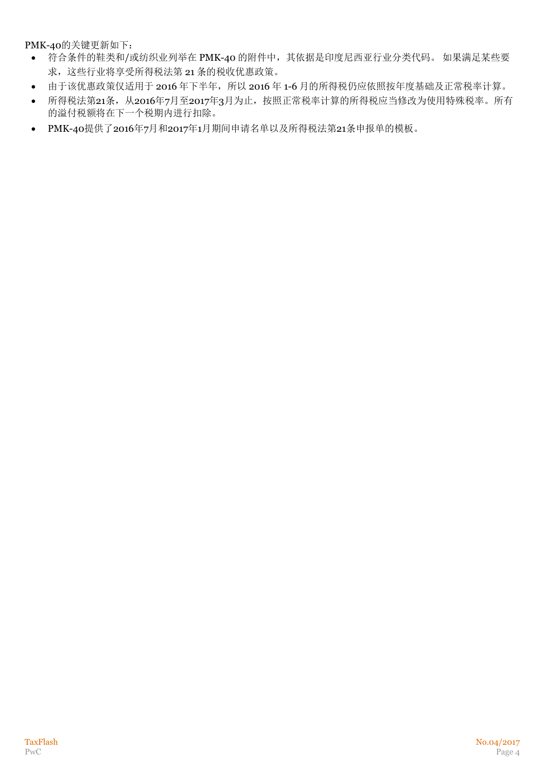PMK-40的关键更新如下:

- 符合条件的鞋类和/或纺织业列举在 PMK-40 的附件中,其依据是印度尼西亚行业分类代码。 如果满足某些要 求,这些行业将享受所得税法第 21 条的税收优惠政策。
- 由于该优惠政策仅适用于 2016 年下半年, 所以 2016 年 1-6 月的所得税仍应依照按年度基础及正常税率计算。
- 所得税法第21条, 从2016年7月至2017年3月为止, 按照正常税率计算的所得税应当修改为使用特殊税率。所有 的溢付税额将在下一个税期内进行扣除。
- PMK-40提供了2016年7月和2017年1月期间申请名单以及所得税法第21条申报单的模板。